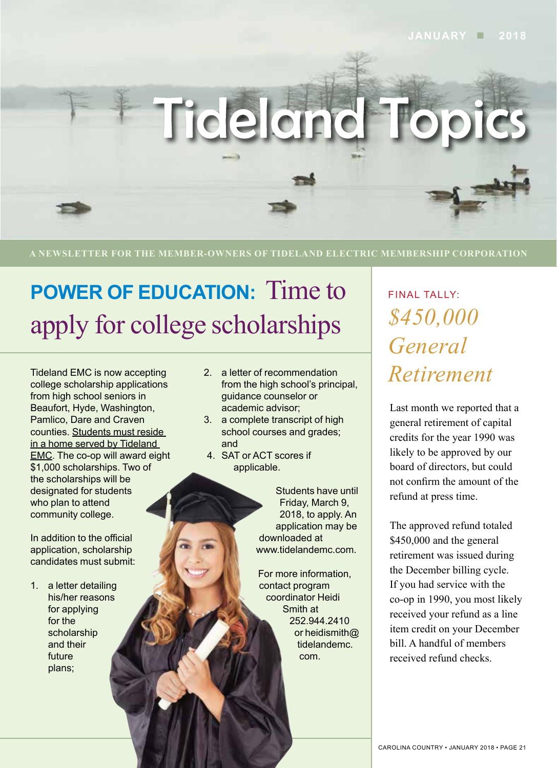

**A NEWSLETTER FOR THE MEMBER-OWNERS OF TIDELAND ELECTRIC MEMBERSHIP CORPORATION**

# **POWER OF EDUCATION:** Time to apply for college scholarships *\$450,000*

Tideland EMC is now accepting college scholarship applications from high school seniors in Beaufort, Hyde, Washington, Pamlico, Dare and Craven counties. Students must reside in a home served by Tideland EMC. The co-op will award eight \$1,000 scholarships. Two of the scholarships will be designated for students who plan to attend community college.

In addition to the official application, scholarship candidates must submit:

1. a letter detailing his/her reasons for applying for the scholarship and their future plans;

- 2. a letter of recommendation from the high school's principal, guidance counselor or academic advisor;
- 3. a complete transcript of high school courses and grades; and
- 4. SAT or ACT scores if applicable.

Students have until Friday, March 9, 2018, to apply. An application may be downloaded at www.tidelandemc.com.

For more information, contact program coordinator Heidi Smith at 252.944.2410 or heidismith@ tidelandemc. com.

*General Retirement* FINAL TALLY:

Last month we reported that a general retirement of capital credits for the year 1990 was likely to be approved by our board of directors, but could not confirm the amount of the refund at press time.

The approved refund totaled \$450,000 and the general retirement was issued during the December billing cycle. If you had service with the co-op in 1990, you most likely received your refund as a line item credit on your December bill. A handful of members received refund checks.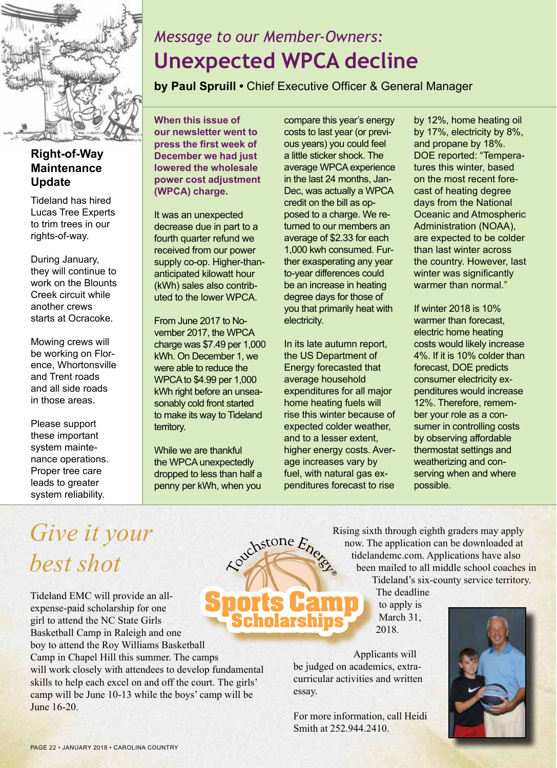

#### **Right-of-Way Maintenance Update**

Tideland has hired Lucas Tree Experts to trim trees in our rights-of-way.

During January, they will continue to work on the Blounts Creek circuit while another crews starts at Ocracoke.

Mowing crews will be working on Florence, Whortonsville and Trent roads and all side roads in those areas.

Please support these important system maintenance operations. Proper tree care leads to greater system reliability.

## *Message to our Member-Owners:* **Unexpected WPCA decline**

**by Paul Spruill •** Chief Executive Officer & General Manager

**When this issue of our newsletter went to press the first week of December we had just lowered the wholesale power cost adjustment (WPCA) charge.** 

It was an unexpected decrease due in part to a fourth quarter refund we received from our power supply co-op. Higher-thananticipated kilowatt hour (kWh) sales also contributed to the lower WPCA.

From June 2017 to November 2017, the WPCA charge was \$7.49 per 1,000 kWh. On December 1, we were able to reduce the WPCA to \$4.99 per 1,000 kWh right before an unseasonably cold front started to make its way to Tideland territory.

While we are thankful the WPCA unexpectedly dropped to less than half a penny per kWh, when you

Couchstone Ener

compare this year's energy costs to last year (or previous years) you could feel a little sticker shock. The average WPCA experience in the last 24 months, Jan-Dec, was actually a WPCA credit on the bill as opposed to a charge. We returned to our members an average of \$2.33 for each 1,000 kwh consumed. Further exasperating any year to-year differences could be an increase in heating degree days for those of you that primarily heat with electricity.

In its late autumn report, the US Department of Energy forecasted that average household expenditures for all major home heating fuels will rise this winter because of expected colder weather, and to a lesser extent, higher energy costs. Average increases vary by fuel, with natural gas expenditures forecast to rise

by 12%, home heating oil by 17%, electricity by 8%, and propane by 18%. DOE reported: "Temperatures this winter, based on the most recent forecast of heating degree days from the National Oceanic and Atmospheric Administration (NOAA), are expected to be colder than last winter across the country. However, last winter was significantly warmer than normal."

If winter 2018 is 10% warmer than forecast, electric home heating costs would likely increase 4%. If it is 10% colder than forecast, DOE predicts consumer electricity expenditures would increase 12%. Therefore, remember your role as a consumer in controlling costs by observing affordable thermostat settings and weatherizing and conserving when and where possible.

## *Give it your best shot*

Tideland EMC will provide an allexpense-paid scholarship for one girl to attend the NC State Girls Basketball Camp in Raleigh and one boy to attend the Roy Williams Basketball Camp in Chapel Hill this summer. The camps will work closely with attendees to develop fundamental skills to help each excel on and off the court. The girls' camp will be June 10-13 while the boys' camp will be June 16-20. **ports Cam** 

Rising sixth through eighth graders may apply now. The application can be downloaded at tidelandemc.com. Applications have also been mailed to all middle school coaches in Tideland's six-county service territory.

The deadline to apply is March 31, 2018.

Applicants will be judged on academics, extracurricular activities and written essay.

For more information, call Heidi Smith at 252.944.2410.

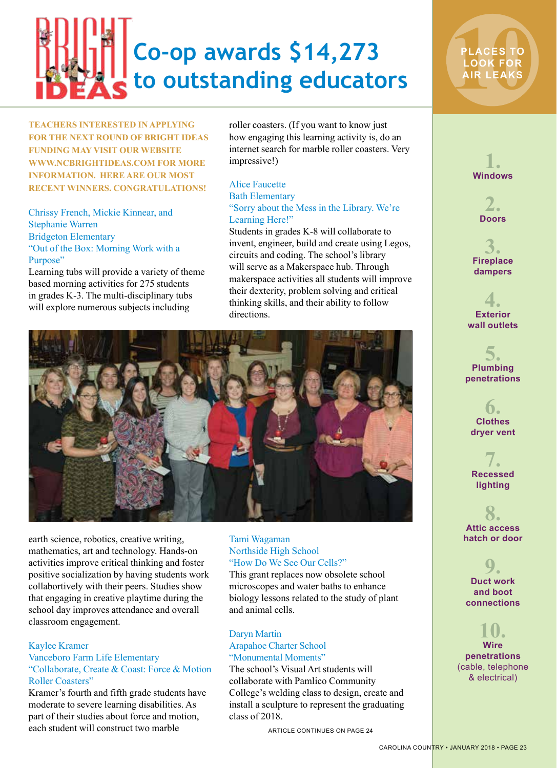

**TEACHERS INTERESTED IN APPLYING FOR THE NEXT ROUND OF BRIGHT IDEAS FUNDING MAY VISIT OUR WEBSITE WWW.NCBRIGHTIDEAS.COM FOR MORE INFORMATION. HERE ARE OUR MOST RECENT WINNERS. CONGRATULATIONS!**

Chrissy French, Mickie Kinnear, and Stephanie Warren Bridgeton Elementary "Out of the Box: Morning Work with a Purpose"

Learning tubs will provide a variety of theme based morning activities for 275 students in grades K-3. The multi-disciplinary tubs will explore numerous subjects including

roller coasters. (If you want to know just how engaging this learning activity is, do an internet search for marble roller coasters. Very impressive!)

#### Alice Faucette Bath Elementary "Sorry about the Mess in the Library. We're Learning Here!"

Students in grades K-8 will collaborate to invent, engineer, build and create using Legos, circuits and coding. The school's library will serve as a Makerspace hub. Through makerspace activities all students will improve their dexterity, problem solving and critical thinking skills, and their ability to follow directions.



earth science, robotics, creative writing, mathematics, art and technology. Hands-on activities improve critical thinking and foster positive socialization by having students work collabortively with their peers. Studies show that engaging in creative playtime during the school day improves attendance and overall classroom engagement.

#### Kaylee Kramer

#### Vanceboro Farm Life Elementary "Collaborate, Create & Coast: Force & Motion Roller Coasters"

Kramer's fourth and fifth grade students have moderate to severe learning disabilities. As part of their studies about force and motion, each student will construct two marble

#### Tami Wagaman Northside High School "How Do We See Our Cells?"

This grant replaces now obsolete school microscopes and water baths to enhance biology lessons related to the study of plant and animal cells.

#### Daryn Martin

#### Arapahoe Charter School "Monumental Moments"

The school's Visual Art students will collaborate with Pamlico Community College's welding class to design, create and install a sculpture to represent the graduating class of 2018.

ARTICLE CONTINUES ON PAGE 24



**PLACES TO<br>LOOK FOR<br>AIR LEAKS LOOK FOR AIR LEAKS**



**3. Fireplace dampers**

**4. Exterior wall outlets**

**5. Plumbing penetrations**

**6. Clothes dryer vent**

**7. Recessed lighting**

**8. Attic access hatch or door**

**9. Duct work and boot connections**

#### **10. Wire penetrations**  (cable, telephone & electrical)